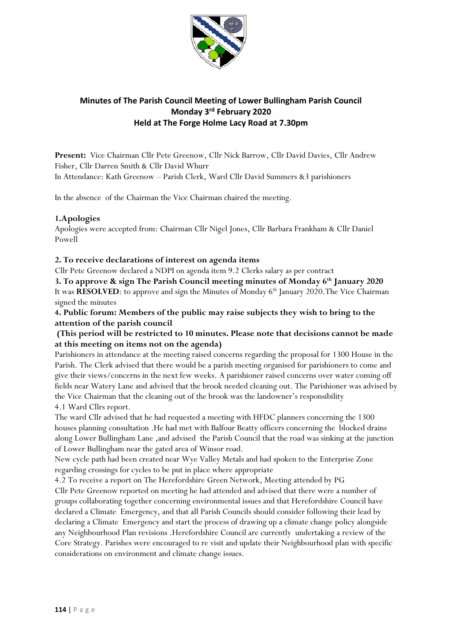

# **Minutes of The Parish Council Meeting of Lower Bullingham Parish Council Monday 3 rd February 2020 Held at The Forge Holme Lacy Road at 7.30pm**

**Present:** Vice Chairman Cllr Pete Greenow, Cllr Nick Barrow, Cllr David Davies, Cllr Andrew Fisher, Cllr Darren Smith & Cllr David Whurr In Attendance: Kath Greenow – Parish Clerk, Ward Cllr David Summers &3 parishioners

In the absence of the Chairman the Vice Chairman chaired the meeting.

### **1.Apologies**

Apologies were accepted from: Chairman Cllr Nigel Jones, Cllr Barbara Frankham & Cllr Daniel Powell

### **2. To receive declarations of interest on agenda items**

Cllr Pete Greenow declared a NDPI on agenda item 9.2 Clerks salary as per contract

**3. To approve & sign The Parish Council meeting minutes of Monday 6th January 2020** 

It was **RESOLVED**: to approve and sign the Minutes of Monday 6<sup>th</sup> January 2020. The Vice Chairman signed the minutes

**4. Public forum: Members of the public may raise subjects they wish to bring to the attention of the parish council**

### **(This period will be restricted to 10 minutes. Please note that decisions cannot be made at this meeting on items not on the agenda)**

Parishioners in attendance at the meeting raised concerns regarding the proposal for 1300 House in the Parish. The Clerk advised that there would be a parish meeting organised for parishioners to come and give their views/concerns in the next few weeks. A parishioner raised concerns over water coming off fields near Watery Lane and advised that the brook needed cleaning out. The Parishioner was advised by the Vice Chairman that the cleaning out of the brook was the landowner's responsibility 4.1 Ward Cllrs report.

The ward Cllr advised that he had requested a meeting with HFDC planners concerning the 1300 houses planning consultation .He had met with Balfour Beatty officers concerning the blocked drains along Lower Bullingham Lane ,and advised the Parish Council that the road was sinking at the junction of Lower Bullingham near the gated area of Winsor road.

New cycle path had been created near Wye Valley Metals and had spoken to the Enterprise Zone regarding crossings for cycles to be put in place where appropriate

4.2 To receive a report on The Herefordshire Green Network, Meeting attended by PG Cllr Pete Greenow reported on meeting he had attended and advised that there were a number of groups collaborating together concerning environmental issues and that Herefordshire Council have declared a Climate Emergency, and that all Parish Councils should consider following their lead by declaring a Climate Emergency and start the process of drawing up a climate change policy alongside any Neighbourhood Plan revisions .Herefordshire Council are currently undertaking a review of the Core Strategy. Parishes were encouraged to re visit and update their Neighbourhood plan with specific considerations on environment and climate change issues.